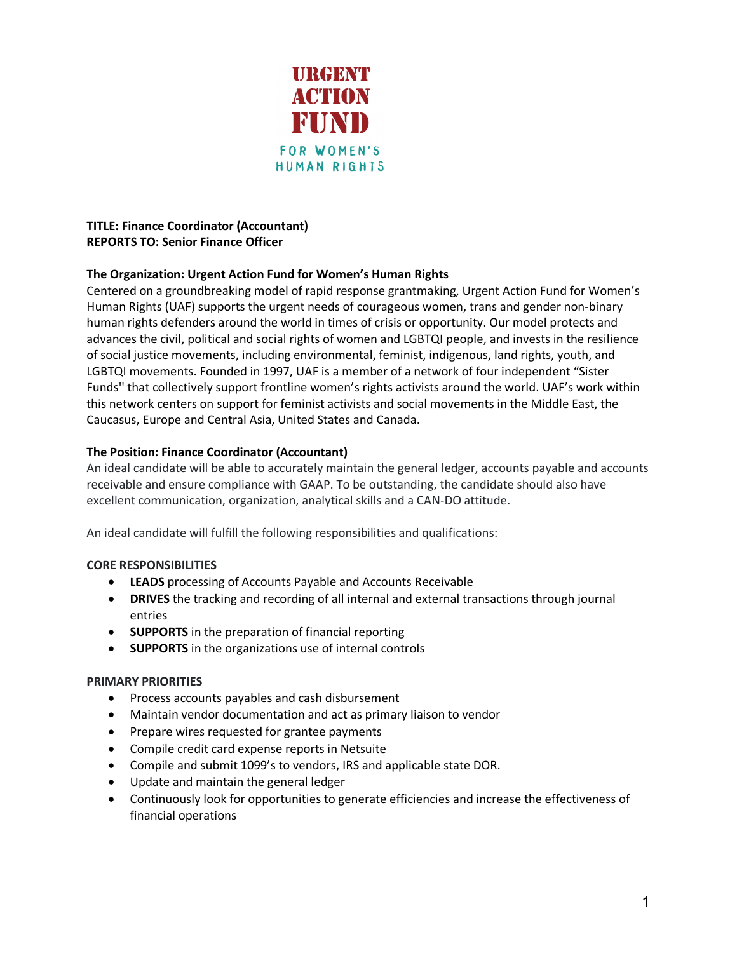

# **TITLE: Finance Coordinator (Accountant) REPORTS TO: Senior Finance Officer**

# **The Organization: Urgent Action Fund for Women's Human Rights**

Centered on a groundbreaking model of rapid response grantmaking, Urgent Action Fund for Women's Human Rights (UAF) supports the urgent needs of courageous women, trans and gender non-binary human rights defenders around the world in times of crisis or opportunity. Our model protects and advances the civil, political and social rights of women and LGBTQI people, and invests in the resilience of social justice movements, including environmental, feminist, indigenous, land rights, youth, and LGBTQI movements. Founded in 1997, UAF is a member of a network of four independent "Sister Funds'' that collectively support frontline women's rights activists around the world. UAF's work within this network centers on support for feminist activists and social movements in the Middle East, the Caucasus, Europe and Central Asia, United States and Canada.

# **The Position: Finance Coordinator (Accountant)**

An ideal candidate will be able to accurately maintain the general ledger, accounts payable and accounts receivable and ensure compliance with GAAP. To be outstanding, the candidate should also have excellent communication, organization, analytical skills and a CAN-DO attitude.

An ideal candidate will fulfill the following responsibilities and qualifications:

### **CORE RESPONSIBILITIES**

- **LEADS** processing of Accounts Payable and Accounts Receivable
- **DRIVES** the tracking and recording of all internal and external transactions through journal entries
- **SUPPORTS** in the preparation of financial reporting
- **SUPPORTS** in the organizations use of internal controls

# **PRIMARY PRIORITIES**

- Process accounts payables and cash disbursement
- Maintain vendor documentation and act as primary liaison to vendor
- Prepare wires requested for grantee payments
- Compile credit card expense reports in Netsuite
- Compile and submit 1099's to vendors, IRS and applicable state DOR.
- Update and maintain the general ledger
- Continuously look for opportunities to generate efficiencies and increase the effectiveness of financial operations